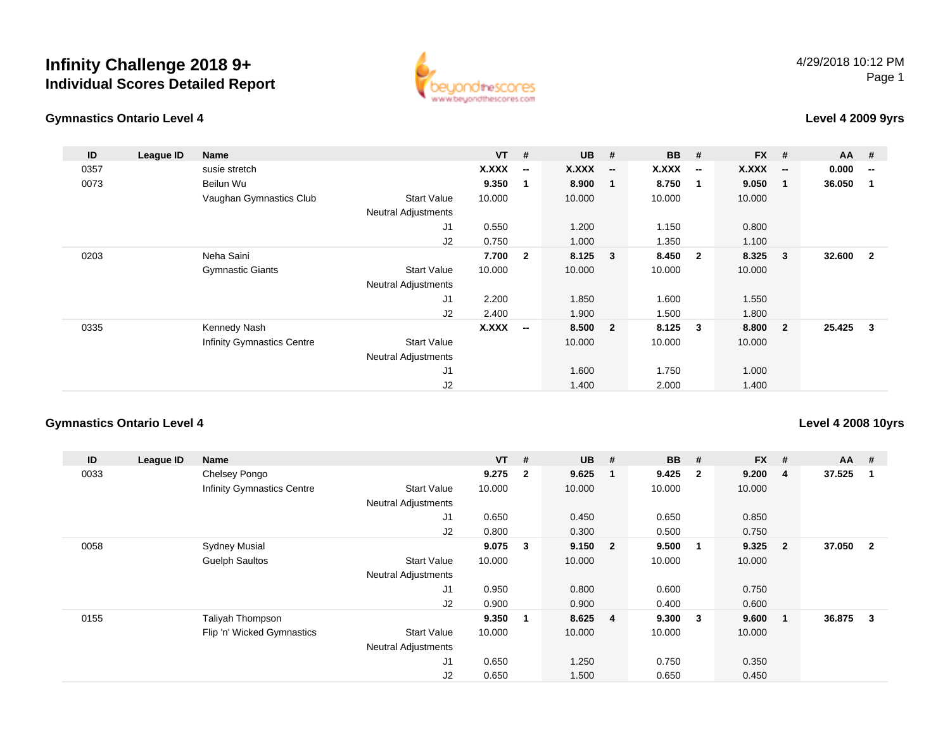

## **Gymnastics Ontario Level 4**

## **Level 4 2009 9yrs**

| ID   | League ID | Name                              |                            | $VT$ # |                          | <b>UB</b> | #                       | <b>BB</b> | #                        | <b>FX</b> | #                        | AA #   |                          |
|------|-----------|-----------------------------------|----------------------------|--------|--------------------------|-----------|-------------------------|-----------|--------------------------|-----------|--------------------------|--------|--------------------------|
| 0357 |           | susie stretch                     |                            | X.XXX  | $\overline{\phantom{a}}$ | X.XXX     | $\sim$                  | X.XXX     | $\overline{\phantom{a}}$ | X.XXX     | $\overline{\phantom{a}}$ | 0.000  | $\overline{\phantom{a}}$ |
| 0073 |           | Beilun Wu                         |                            | 9.350  | 1                        | 8.900     | $\overline{\mathbf{1}}$ | 8.750     | $\blacksquare$           | 9.050     | -1                       | 36.050 |                          |
|      |           | Vaughan Gymnastics Club           | <b>Start Value</b>         | 10.000 |                          | 10.000    |                         | 10.000    |                          | 10.000    |                          |        |                          |
|      |           |                                   | <b>Neutral Adjustments</b> |        |                          |           |                         |           |                          |           |                          |        |                          |
|      |           |                                   | J <sub>1</sub>             | 0.550  |                          | 1.200     |                         | 1.150     |                          | 0.800     |                          |        |                          |
|      |           |                                   | J2                         | 0.750  |                          | 1.000     |                         | 1.350     |                          | 1.100     |                          |        |                          |
| 0203 |           | Neha Saini                        |                            | 7.700  | $\overline{2}$           | 8.125 3   |                         | 8.450     | $\overline{\mathbf{2}}$  | 8.325     | $\mathbf{3}$             | 32.600 | $\overline{2}$           |
|      |           | <b>Gymnastic Giants</b>           | <b>Start Value</b>         | 10.000 |                          | 10.000    |                         | 10.000    |                          | 10.000    |                          |        |                          |
|      |           |                                   | <b>Neutral Adjustments</b> |        |                          |           |                         |           |                          |           |                          |        |                          |
|      |           |                                   | J <sub>1</sub>             | 2.200  |                          | 1.850     |                         | 1.600     |                          | 1.550     |                          |        |                          |
|      |           |                                   | J2                         | 2.400  |                          | 1.900     |                         | 1.500     |                          | 1.800     |                          |        |                          |
| 0335 |           | Kennedy Nash                      |                            | X.XXX  | $\overline{\phantom{m}}$ | 8.500     | $\overline{\mathbf{2}}$ | 8.125     | $\mathbf{3}$             | 8.800     | $\overline{2}$           | 25.425 | 3                        |
|      |           | <b>Infinity Gymnastics Centre</b> | <b>Start Value</b>         |        |                          | 10.000    |                         | 10.000    |                          | 10.000    |                          |        |                          |
|      |           |                                   | <b>Neutral Adjustments</b> |        |                          |           |                         |           |                          |           |                          |        |                          |
|      |           |                                   | J <sub>1</sub>             |        |                          | 1.600     |                         | 1.750     |                          | 1.000     |                          |        |                          |
|      |           |                                   | J2                         |        |                          | 1.400     |                         | 2.000     |                          | 1.400     |                          |        |                          |

## **Gymnastics Ontario Level 4**

## **Level 4 2008 10yrs**

| ID   | League ID | Name                              |                            | $VT$ # |                         | <b>UB</b> | #              | <b>BB</b> | #                       | <b>FX</b> | #              | $AA$ # |                |
|------|-----------|-----------------------------------|----------------------------|--------|-------------------------|-----------|----------------|-----------|-------------------------|-----------|----------------|--------|----------------|
| 0033 |           | Chelsey Pongo                     |                            | 9.275  | $\overline{\mathbf{2}}$ | 9.625     | - 1            | 9.425     | $\overline{\mathbf{2}}$ | 9.200     | 4              | 37.525 |                |
|      |           | <b>Infinity Gymnastics Centre</b> | <b>Start Value</b>         | 10.000 |                         | 10.000    |                | 10.000    |                         | 10.000    |                |        |                |
|      |           |                                   | <b>Neutral Adjustments</b> |        |                         |           |                |           |                         |           |                |        |                |
|      |           |                                   | J <sub>1</sub>             | 0.650  |                         | 0.450     |                | 0.650     |                         | 0.850     |                |        |                |
|      |           |                                   | J2                         | 0.800  |                         | 0.300     |                | 0.500     |                         | 0.750     |                |        |                |
| 0058 |           | <b>Sydney Musial</b>              |                            | 9.075  | $\mathbf{3}$            | 9.150 2   |                | 9.500     | -1                      | 9.325     | $\overline{2}$ | 37.050 | $\overline{2}$ |
|      |           | <b>Guelph Saultos</b>             | <b>Start Value</b>         | 10.000 |                         | 10.000    |                | 10.000    |                         | 10.000    |                |        |                |
|      |           |                                   | <b>Neutral Adjustments</b> |        |                         |           |                |           |                         |           |                |        |                |
|      |           |                                   | J <sub>1</sub>             | 0.950  |                         | 0.800     |                | 0.600     |                         | 0.750     |                |        |                |
|      |           |                                   | J <sub>2</sub>             | 0.900  |                         | 0.900     |                | 0.400     |                         | 0.600     |                |        |                |
| 0155 |           | Taliyah Thompson                  |                            | 9.350  | -1                      | 8.625     | $\overline{4}$ | 9.300     | $\overline{\mathbf{3}}$ | 9.600     | $\mathbf 1$    | 36.875 | $\mathbf{3}$   |
|      |           | Flip 'n' Wicked Gymnastics        | <b>Start Value</b>         | 10.000 |                         | 10.000    |                | 10.000    |                         | 10.000    |                |        |                |
|      |           |                                   | <b>Neutral Adjustments</b> |        |                         |           |                |           |                         |           |                |        |                |
|      |           |                                   | J <sub>1</sub>             | 0.650  |                         | 1.250     |                | 0.750     |                         | 0.350     |                |        |                |
|      |           |                                   | J <sub>2</sub>             | 0.650  |                         | 1.500     |                | 0.650     |                         | 0.450     |                |        |                |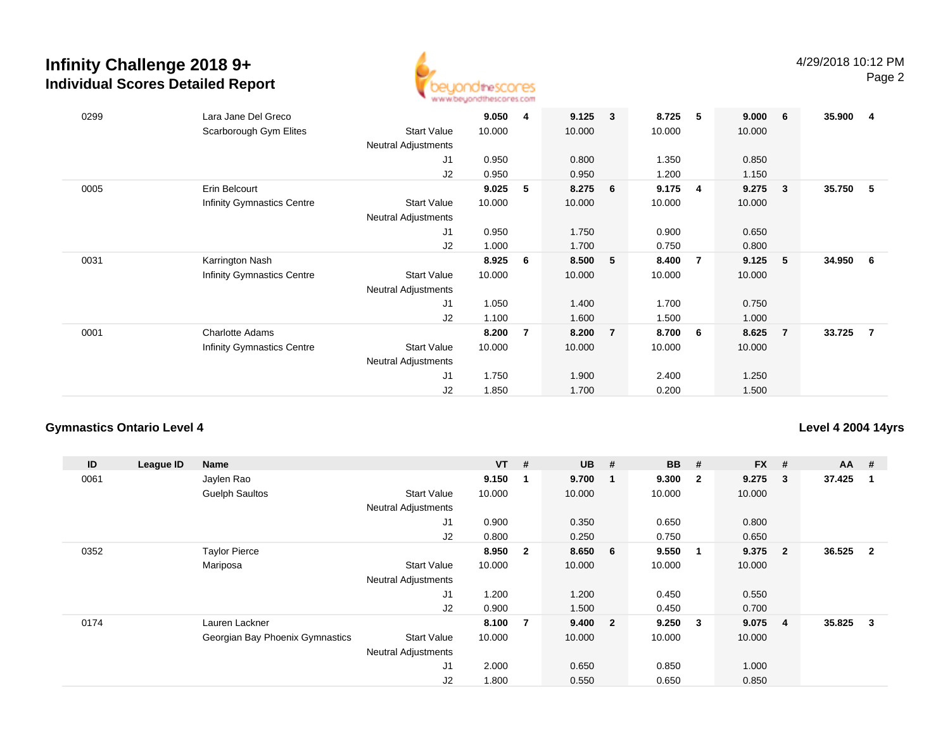

| 0299 | Lara Jane Del Greco<br>Scarborough Gym Elites | <b>Start Value</b><br><b>Neutral Adjustments</b> | 9.050<br>10.000 | 4  | 9.125<br>10.000 | 3              | 8.725<br>10.000 | 5              | 9.000<br>10.000 | 6              | 35.900 | -4 |
|------|-----------------------------------------------|--------------------------------------------------|-----------------|----|-----------------|----------------|-----------------|----------------|-----------------|----------------|--------|----|
|      |                                               | J1                                               | 0.950           |    | 0.800           |                | 1.350           |                | 0.850           |                |        |    |
|      |                                               | J2                                               | 0.950           |    | 0.950           |                | 1.200           |                | 1.150           |                |        |    |
| 0005 | Erin Belcourt                                 |                                                  | 9.025           | 5  | 8.275           | 6              | 9.175           | $\overline{4}$ | 9.275           | -3             | 35.750 | -5 |
|      | <b>Infinity Gymnastics Centre</b>             | <b>Start Value</b>                               | 10.000          |    | 10.000          |                | 10.000          |                | 10.000          |                |        |    |
|      |                                               | <b>Neutral Adjustments</b>                       |                 |    |                 |                |                 |                |                 |                |        |    |
|      |                                               | J1                                               | 0.950           |    | 1.750           |                | 0.900           |                | 0.650           |                |        |    |
|      |                                               | J2                                               | 1.000           |    | 1.700           |                | 0.750           |                | 0.800           |                |        |    |
| 0031 | Karrington Nash                               |                                                  | 8.925           | -6 | 8.500           | 5              | 8.400           | $\overline{7}$ | 9.125           | -5             | 34.950 | -6 |
|      | <b>Infinity Gymnastics Centre</b>             | <b>Start Value</b><br><b>Neutral Adjustments</b> | 10.000          |    | 10.000          |                | 10.000          |                | 10.000          |                |        |    |
|      |                                               | J1                                               | 1.050           |    | 1.400           |                | 1.700           |                | 0.750           |                |        |    |
|      |                                               | J2                                               | 1.100           |    | 1.600           |                | 1.500           |                | 1.000           |                |        |    |
| 0001 | <b>Charlotte Adams</b>                        |                                                  | 8.200           | 7  | 8.200           | $\overline{7}$ | 8.700           | - 6            | 8.625           | $\overline{7}$ | 33.725 | -7 |
|      | <b>Infinity Gymnastics Centre</b>             | <b>Start Value</b>                               | 10.000          |    | 10.000          |                | 10.000          |                | 10.000          |                |        |    |
|      |                                               | <b>Neutral Adjustments</b>                       |                 |    |                 |                |                 |                |                 |                |        |    |
|      |                                               | J1                                               | 1.750           |    | 1.900           |                | 2.400           |                | 1.250           |                |        |    |
|      |                                               | J2                                               | 1.850           |    | 1.700           |                | 0.200           |                | 1.500           |                |        |    |

## **Gymnastics Ontario Level 4**

## **Level 4 2004 14yrs**

| ID   | League ID | Name                            |                            | $VT$ # |                | <b>UB</b> | #                       | <b>BB</b> | #                       | $FX$ # |                | $AA$ # |                |
|------|-----------|---------------------------------|----------------------------|--------|----------------|-----------|-------------------------|-----------|-------------------------|--------|----------------|--------|----------------|
| 0061 |           | Jaylen Rao                      |                            | 9.150  | -1             | 9.700     | - 1                     | 9.300     | $\overline{\mathbf{2}}$ | 9.275  | 3              | 37.425 |                |
|      |           | <b>Guelph Saultos</b>           | <b>Start Value</b>         | 10.000 |                | 10.000    |                         | 10.000    |                         | 10.000 |                |        |                |
|      |           |                                 | <b>Neutral Adjustments</b> |        |                |           |                         |           |                         |        |                |        |                |
|      |           |                                 | J1                         | 0.900  |                | 0.350     |                         | 0.650     |                         | 0.800  |                |        |                |
|      |           |                                 | J2                         | 0.800  |                | 0.250     |                         | 0.750     |                         | 0.650  |                |        |                |
| 0352 |           | <b>Taylor Pierce</b>            |                            | 8.950  | $\overline{2}$ | 8.650     | $6\overline{6}$         | 9.550     | -1                      | 9.375  | $\overline{2}$ | 36.525 | $\overline{2}$ |
|      |           | Mariposa                        | <b>Start Value</b>         | 10.000 |                | 10.000    |                         | 10.000    |                         | 10.000 |                |        |                |
|      |           |                                 | <b>Neutral Adjustments</b> |        |                |           |                         |           |                         |        |                |        |                |
|      |           |                                 | J <sub>1</sub>             | 1.200  |                | 1.200     |                         | 0.450     |                         | 0.550  |                |        |                |
|      |           |                                 | J <sub>2</sub>             | 0.900  |                | 1.500     |                         | 0.450     |                         | 0.700  |                |        |                |
| 0174 |           | Lauren Lackner                  |                            | 8.100  | 7              | 9.400     | $\overline{\mathbf{2}}$ | 9.250     | - 3                     | 9.075  | 4              | 35.825 | 3              |
|      |           | Georgian Bay Phoenix Gymnastics | <b>Start Value</b>         | 10.000 |                | 10.000    |                         | 10.000    |                         | 10.000 |                |        |                |
|      |           |                                 | <b>Neutral Adjustments</b> |        |                |           |                         |           |                         |        |                |        |                |
|      |           |                                 | J1                         | 2.000  |                | 0.650     |                         | 0.850     |                         | 1.000  |                |        |                |
|      |           |                                 | J2                         | 1.800  |                | 0.550     |                         | 0.650     |                         | 0.850  |                |        |                |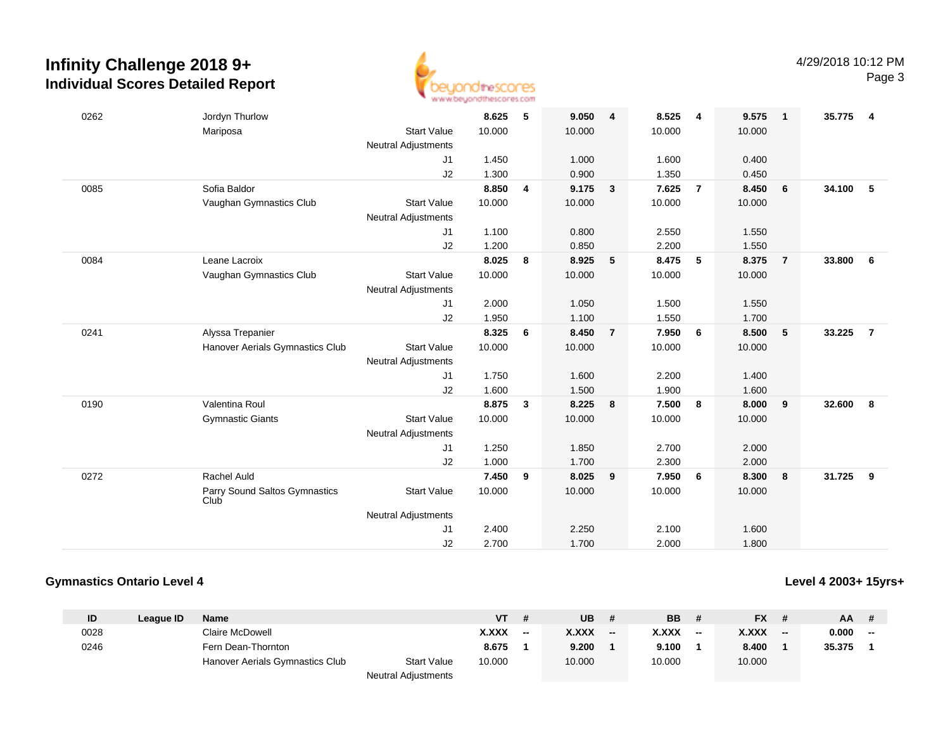

| 0262 | Jordyn Thurlow                        |                            | 8.625  | 5 | 9.050  | $\overline{\mathbf{4}}$ | 8.525  | 4              | 9.575  | $\mathbf{1}$   | 35.775 | $\overline{4}$ |
|------|---------------------------------------|----------------------------|--------|---|--------|-------------------------|--------|----------------|--------|----------------|--------|----------------|
|      | Mariposa                              | <b>Start Value</b>         | 10.000 |   | 10.000 |                         | 10.000 |                | 10.000 |                |        |                |
|      |                                       | <b>Neutral Adjustments</b> |        |   |        |                         |        |                |        |                |        |                |
|      |                                       | J1                         | 1.450  |   | 1.000  |                         | 1.600  |                | 0.400  |                |        |                |
|      |                                       | J2                         | 1.300  |   | 0.900  |                         | 1.350  |                | 0.450  |                |        |                |
| 0085 | Sofia Baldor                          |                            | 8.850  | 4 | 9.175  | $\mathbf{3}$            | 7.625  | $\overline{7}$ | 8.450  | 6              | 34.100 | 5              |
|      | Vaughan Gymnastics Club               | <b>Start Value</b>         | 10.000 |   | 10.000 |                         | 10.000 |                | 10.000 |                |        |                |
|      |                                       | <b>Neutral Adjustments</b> |        |   |        |                         |        |                |        |                |        |                |
|      |                                       | J1                         | 1.100  |   | 0.800  |                         | 2.550  |                | 1.550  |                |        |                |
|      |                                       | J2                         | 1.200  |   | 0.850  |                         | 2.200  |                | 1.550  |                |        |                |
| 0084 | Leane Lacroix                         |                            | 8.025  | 8 | 8.925  | 5                       | 8.475  | 5              | 8.375  | $\overline{7}$ | 33,800 | 6              |
|      | Vaughan Gymnastics Club               | <b>Start Value</b>         | 10.000 |   | 10.000 |                         | 10.000 |                | 10.000 |                |        |                |
|      |                                       | Neutral Adjustments        |        |   |        |                         |        |                |        |                |        |                |
|      |                                       | J1                         | 2.000  |   | 1.050  |                         | 1.500  |                | 1.550  |                |        |                |
|      |                                       | J2                         | 1.950  |   | 1.100  |                         | 1.550  |                | 1.700  |                |        |                |
| 0241 | Alyssa Trepanier                      |                            | 8.325  | 6 | 8.450  | $\overline{7}$          | 7.950  | 6              | 8.500  | 5              | 33.225 | $\overline{7}$ |
|      | Hanover Aerials Gymnastics Club       | <b>Start Value</b>         | 10.000 |   | 10.000 |                         | 10.000 |                | 10.000 |                |        |                |
|      |                                       | <b>Neutral Adjustments</b> |        |   |        |                         |        |                |        |                |        |                |
|      |                                       | J1                         | 1.750  |   | 1.600  |                         | 2.200  |                | 1.400  |                |        |                |
|      |                                       | J2                         | 1.600  |   | 1.500  |                         | 1.900  |                | 1.600  |                |        |                |
| 0190 | Valentina Roul                        |                            | 8.875  | 3 | 8.225  | 8                       | 7.500  | 8              | 8.000  | 9              | 32.600 | 8              |
|      | <b>Gymnastic Giants</b>               | <b>Start Value</b>         | 10.000 |   | 10.000 |                         | 10.000 |                | 10.000 |                |        |                |
|      |                                       | <b>Neutral Adjustments</b> |        |   |        |                         |        |                |        |                |        |                |
|      |                                       | J1                         | 1.250  |   | 1.850  |                         | 2.700  |                | 2.000  |                |        |                |
|      |                                       | J <sub>2</sub>             | 1.000  |   | 1.700  |                         | 2.300  |                | 2.000  |                |        |                |
| 0272 | Rachel Auld                           |                            | 7.450  | 9 | 8.025  | 9                       | 7.950  | 6              | 8.300  | 8              | 31.725 | 9              |
|      | Parry Sound Saltos Gymnastics<br>Club | <b>Start Value</b>         | 10.000 |   | 10.000 |                         | 10.000 |                | 10.000 |                |        |                |
|      |                                       | <b>Neutral Adjustments</b> |        |   |        |                         |        |                |        |                |        |                |
|      |                                       | J1                         | 2.400  |   | 2.250  |                         | 2.100  |                | 1.600  |                |        |                |
|      |                                       | J2                         | 2.700  |   | 1.700  |                         | 2.000  |                | 1.800  |                |        |                |

## **Gymnastics Ontario Level 4**

**Level 4 2003+ 15yrs+**

| ID   | League ID | <b>Name</b>                     |                            | VT     |    | UB           |       | <b>BB</b> |     | <b>FX</b> | - # | <b>AA</b> | # |
|------|-----------|---------------------------------|----------------------------|--------|----|--------------|-------|-----------|-----|-----------|-----|-----------|---|
| 0028 |           | Claire McDowell                 |                            | X.XXX  | -- | <b>X.XXX</b> | $- -$ | X.XXX     | $-$ | X.XXX     | $-$ | 0.000     |   |
| 0246 |           | Fern Dean-Thornton              |                            | 8.675  |    | 9.200        |       | 9.100     |     | 8.400     |     | 35.375    |   |
|      |           | Hanover Aerials Gymnastics Club | <b>Start Value</b>         | 10.000 |    | 10.000       |       | 10.000    |     | 10.000    |     |           |   |
|      |           |                                 | <b>Neutral Adjustments</b> |        |    |              |       |           |     |           |     |           |   |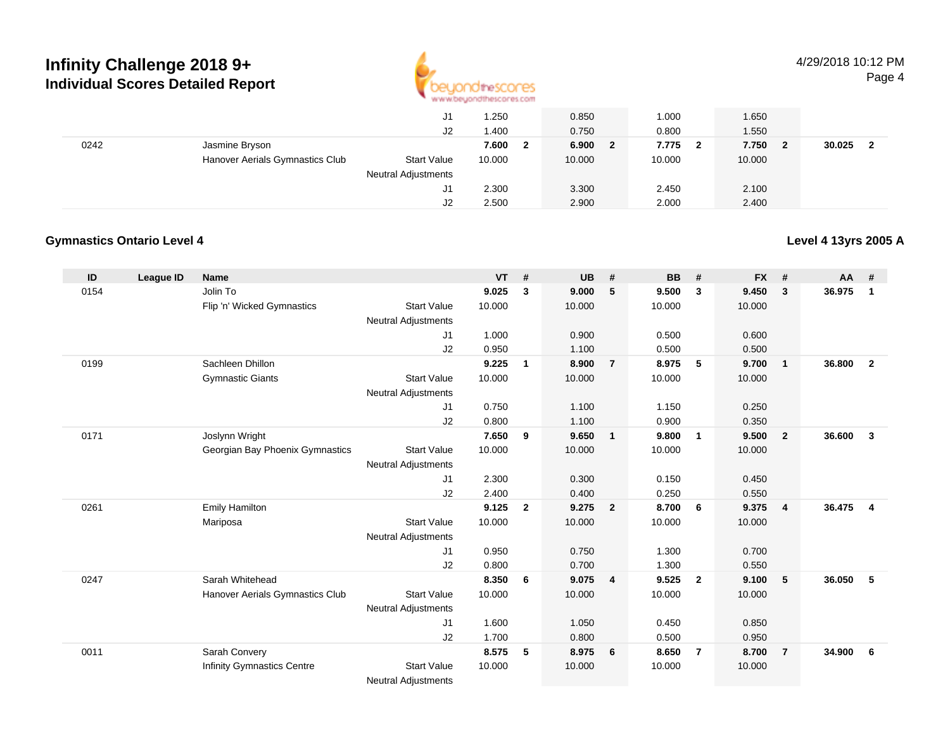

|      |                                 | J1                         | 1.250  | 0.850                 | 1.000                            | 1.650                 |             |
|------|---------------------------------|----------------------------|--------|-----------------------|----------------------------------|-----------------------|-------------|
|      |                                 | J2                         | 1.400  | 0.750                 | 0.800                            | 1.550                 |             |
| 0242 | Jasmine Bryson                  |                            | 7.600  | 6.900<br>$\mathbf{2}$ | 7.775<br>$\overline{\mathbf{2}}$ | 7.750<br>$\mathbf{2}$ | 30.025<br>ີ |
|      | Hanover Aerials Gymnastics Club | <b>Start Value</b>         | 10.000 | 10.000                | 10.000                           | 10.000                |             |
|      |                                 | <b>Neutral Adjustments</b> |        |                       |                                  |                       |             |
|      |                                 | J1                         | 2.300  | 3.300                 | 2.450                            | 2.100                 |             |
|      |                                 | J2                         | 2.500  | 2.900                 | 2.000                            | 2.400                 |             |

## **Gymnastics Ontario Level 4**

## **Level 4 13yrs 2005 A**

| ID   | League ID | <b>Name</b>                       |                            | <b>VT</b> | #              | <b>UB</b> | #              | <b>BB</b> | #              | <b>FX</b> | #              | $AA$ # |                |
|------|-----------|-----------------------------------|----------------------------|-----------|----------------|-----------|----------------|-----------|----------------|-----------|----------------|--------|----------------|
| 0154 |           | Jolin To                          |                            | 9.025     | 3              | 9.000     | 5              | 9.500     | 3              | 9.450     | 3              | 36.975 | 1              |
|      |           | Flip 'n' Wicked Gymnastics        | <b>Start Value</b>         | 10.000    |                | 10.000    |                | 10.000    |                | 10.000    |                |        |                |
|      |           |                                   | Neutral Adjustments        |           |                |           |                |           |                |           |                |        |                |
|      |           |                                   | J1                         | 1.000     |                | 0.900     |                | 0.500     |                | 0.600     |                |        |                |
|      |           |                                   | J2                         | 0.950     |                | 1.100     |                | 0.500     |                | 0.500     |                |        |                |
| 0199 |           | Sachleen Dhillon                  |                            | 9.225     | $\mathbf{1}$   | 8.900     | $\overline{7}$ | 8.975     | 5              | 9.700     | $\overline{1}$ | 36.800 | $\overline{2}$ |
|      |           | <b>Gymnastic Giants</b>           | <b>Start Value</b>         | 10.000    |                | 10.000    |                | 10.000    |                | 10.000    |                |        |                |
|      |           |                                   | <b>Neutral Adjustments</b> |           |                |           |                |           |                |           |                |        |                |
|      |           |                                   | J1                         | 0.750     |                | 1.100     |                | 1.150     |                | 0.250     |                |        |                |
|      |           |                                   | J2                         | 0.800     |                | 1.100     |                | 0.900     |                | 0.350     |                |        |                |
| 0171 |           | Joslynn Wright                    |                            | 7.650     | 9              | 9.650     | $\overline{1}$ | 9.800     | $\overline{1}$ | 9.500     | $\overline{2}$ | 36.600 | $\mathbf{3}$   |
|      |           | Georgian Bay Phoenix Gymnastics   | <b>Start Value</b>         | 10.000    |                | 10.000    |                | 10.000    |                | 10.000    |                |        |                |
|      |           |                                   | <b>Neutral Adjustments</b> |           |                |           |                |           |                |           |                |        |                |
|      |           |                                   | J1                         | 2.300     |                | 0.300     |                | 0.150     |                | 0.450     |                |        |                |
|      |           |                                   | J2                         | 2.400     |                | 0.400     |                | 0.250     |                | 0.550     |                |        |                |
| 0261 |           | <b>Emily Hamilton</b>             |                            | 9.125     | $\overline{2}$ | 9.275     | $\overline{2}$ | 8.700     | 6              | 9.375     | $\overline{4}$ | 36.475 | $\overline{4}$ |
|      |           | Mariposa                          | <b>Start Value</b>         | 10.000    |                | 10.000    |                | 10.000    |                | 10.000    |                |        |                |
|      |           |                                   | <b>Neutral Adjustments</b> |           |                |           |                |           |                |           |                |        |                |
|      |           |                                   | J1                         | 0.950     |                | 0.750     |                | 1.300     |                | 0.700     |                |        |                |
|      |           |                                   | J2                         | 0.800     |                | 0.700     |                | 1.300     |                | 0.550     |                |        |                |
| 0247 |           | Sarah Whitehead                   |                            | 8.350     | 6              | 9.075     | $\overline{4}$ | 9.525     | $\overline{2}$ | 9.100     | 5              | 36.050 | 5              |
|      |           | Hanover Aerials Gymnastics Club   | <b>Start Value</b>         | 10.000    |                | 10.000    |                | 10.000    |                | 10.000    |                |        |                |
|      |           |                                   | <b>Neutral Adjustments</b> |           |                |           |                |           |                |           |                |        |                |
|      |           |                                   | J1                         | 1.600     |                | 1.050     |                | 0.450     |                | 0.850     |                |        |                |
|      |           |                                   | J2                         | 1.700     |                | 0.800     |                | 0.500     |                | 0.950     |                |        |                |
| 0011 |           | Sarah Convery                     |                            | 8.575     | 5              | 8.975     | 6              | 8.650     | $\overline{7}$ | 8.700     | $\overline{7}$ | 34.900 | 6              |
|      |           | <b>Infinity Gymnastics Centre</b> | <b>Start Value</b>         | 10.000    |                | 10.000    |                | 10.000    |                | 10.000    |                |        |                |
|      |           |                                   | <b>Neutral Adjustments</b> |           |                |           |                |           |                |           |                |        |                |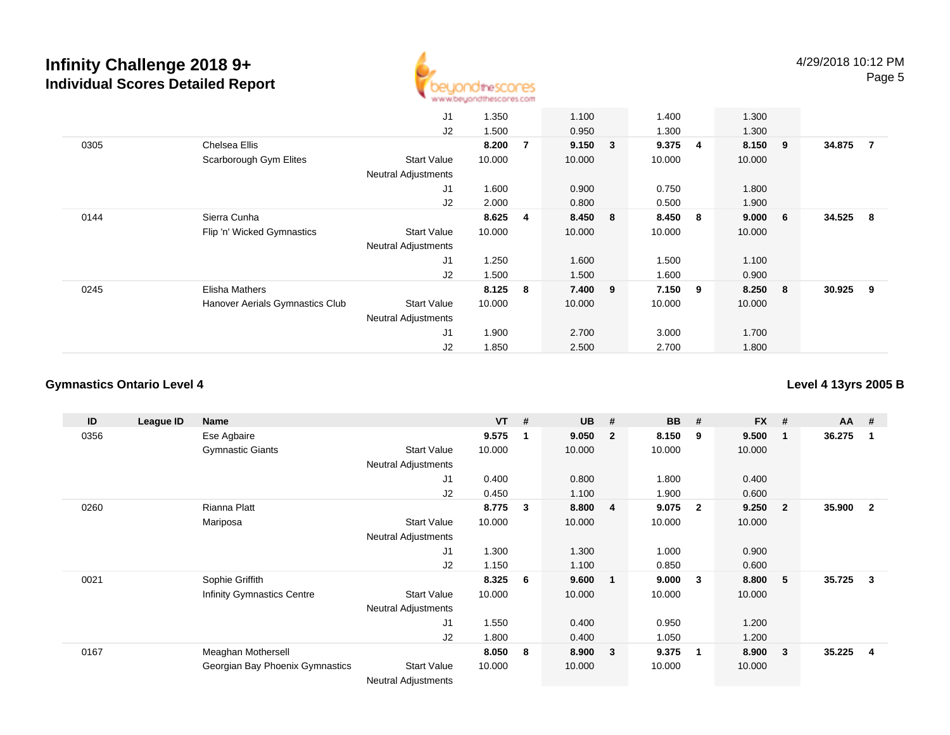

|      |                                 | J1                         | 1.350  |                | 1.100       | 1.400  |                | 1.300   |                 |        |     |
|------|---------------------------------|----------------------------|--------|----------------|-------------|--------|----------------|---------|-----------------|--------|-----|
|      |                                 | J2                         | 1.500  |                | 0.950       | 1.300  |                | 1.300   |                 |        |     |
| 0305 | Chelsea Ellis                   |                            | 8.200  | $\overline{7}$ | $9.150 \t3$ | 9.375  | $\overline{4}$ | 8.150 9 |                 | 34.875 | - 7 |
|      | Scarborough Gym Elites          | <b>Start Value</b>         | 10.000 |                | 10.000      | 10.000 |                | 10.000  |                 |        |     |
|      |                                 | <b>Neutral Adjustments</b> |        |                |             |        |                |         |                 |        |     |
|      |                                 | J1                         | 1.600  |                | 0.900       | 0.750  |                | 1.800   |                 |        |     |
|      |                                 | J2                         | 2.000  |                | 0.800       | 0.500  |                | 1.900   |                 |        |     |
| 0144 | Sierra Cunha                    |                            | 8.625  | $\overline{4}$ | 8.450 8     | 8.450  | - 8            | 9.000   | $6\overline{6}$ | 34.525 | - 8 |
|      | Flip 'n' Wicked Gymnastics      | <b>Start Value</b>         | 10.000 |                | 10.000      | 10.000 |                | 10.000  |                 |        |     |
|      |                                 | <b>Neutral Adjustments</b> |        |                |             |        |                |         |                 |        |     |
|      |                                 | J <sub>1</sub>             | 1.250  |                | 1.600       | 1.500  |                | 1.100   |                 |        |     |
|      |                                 | J2                         | 1.500  |                | 1.500       | 1.600  |                | 0.900   |                 |        |     |
| 0245 | Elisha Mathers                  |                            | 8.125  | 8              | 7.400 9     | 7.150  | - 9            | 8.250 8 |                 | 30.925 | - 9 |
|      | Hanover Aerials Gymnastics Club | <b>Start Value</b>         | 10.000 |                | 10.000      | 10.000 |                | 10.000  |                 |        |     |
|      |                                 | <b>Neutral Adjustments</b> |        |                |             |        |                |         |                 |        |     |
|      |                                 | J <sub>1</sub>             | 1.900  |                | 2.700       | 3.000  |                | 1.700   |                 |        |     |
|      |                                 | J2                         | 1.850  |                | 2.500       | 2.700  |                | 1.800   |                 |        |     |

## **Gymnastics Ontario Level 4**

**Level 4 13yrs 2005 B**

| ID   | League ID | Name                              |                            | <b>VT</b> | # | <b>UB</b> | #                       | <b>BB</b> | #                       | <b>FX</b> | #              | $AA$ # |                |
|------|-----------|-----------------------------------|----------------------------|-----------|---|-----------|-------------------------|-----------|-------------------------|-----------|----------------|--------|----------------|
| 0356 |           | Ese Agbaire                       |                            | 9.575     |   | 9.050     | $\overline{\mathbf{2}}$ | 8.150     | 9                       | 9.500     | 1              | 36.275 |                |
|      |           | <b>Gymnastic Giants</b>           | <b>Start Value</b>         | 10.000    |   | 10.000    |                         | 10.000    |                         | 10.000    |                |        |                |
|      |           |                                   | <b>Neutral Adjustments</b> |           |   |           |                         |           |                         |           |                |        |                |
|      |           |                                   | J1                         | 0.400     |   | 0.800     |                         | 1.800     |                         | 0.400     |                |        |                |
|      |           |                                   | J2                         | 0.450     |   | 1.100     |                         | 1.900     |                         | 0.600     |                |        |                |
| 0260 |           | Rianna Platt                      |                            | 8.775     | 3 | 8.800     | $\overline{\mathbf{4}}$ | 9.075     | $\mathbf{2}$            | 9.250     | $\overline{2}$ | 35.900 | $\overline{2}$ |
|      |           | Mariposa                          | <b>Start Value</b>         | 10.000    |   | 10.000    |                         | 10.000    |                         | 10.000    |                |        |                |
|      |           |                                   | <b>Neutral Adjustments</b> |           |   |           |                         |           |                         |           |                |        |                |
|      |           |                                   | J1                         | 1.300     |   | 1.300     |                         | 1.000     |                         | 0.900     |                |        |                |
|      |           |                                   | J2                         | 1.150     |   | 1.100     |                         | 0.850     |                         | 0.600     |                |        |                |
| 0021 |           | Sophie Griffith                   |                            | 8.325     | 6 | 9.600     | - 1                     | 9.000     | -3                      | 8.800     | 5              | 35.725 | -3             |
|      |           | <b>Infinity Gymnastics Centre</b> | <b>Start Value</b>         | 10.000    |   | 10.000    |                         | 10.000    |                         | 10.000    |                |        |                |
|      |           |                                   | <b>Neutral Adjustments</b> |           |   |           |                         |           |                         |           |                |        |                |
|      |           |                                   | J1                         | 1.550     |   | 0.400     |                         | 0.950     |                         | 1.200     |                |        |                |
|      |           |                                   | J2                         | 1.800     |   | 0.400     |                         | 1.050     |                         | 1.200     |                |        |                |
| 0167 |           | Meaghan Mothersell                |                            | 8.050     | 8 | 8.900     | $\overline{\mathbf{3}}$ | 9.375     | $\overline{\mathbf{1}}$ | 8.900     | 3              | 35.225 | 4              |
|      |           | Georgian Bay Phoenix Gymnastics   | <b>Start Value</b>         | 10.000    |   | 10.000    |                         | 10.000    |                         | 10.000    |                |        |                |
|      |           |                                   | Noutral Adjustments        |           |   |           |                         |           |                         |           |                |        |                |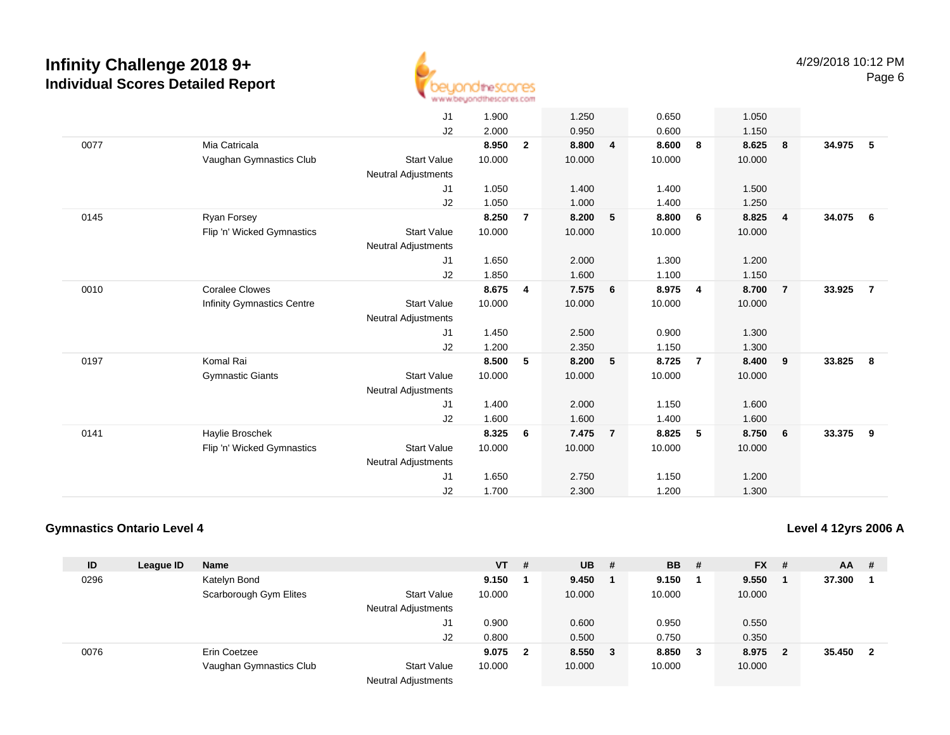

|      |                                                     | J <sub>1</sub><br>J2                                                     | 1.900<br>2.000                    |                | 1.250<br>0.950                    |                | 0.650<br>0.600                    |                | 1.050<br>1.150                    |                         |                          |
|------|-----------------------------------------------------|--------------------------------------------------------------------------|-----------------------------------|----------------|-----------------------------------|----------------|-----------------------------------|----------------|-----------------------------------|-------------------------|--------------------------|
| 0077 | Mia Catricala<br>Vaughan Gymnastics Club            | <b>Start Value</b><br><b>Neutral Adjustments</b>                         | 8.950<br>10.000                   | $\overline{2}$ | 8.800<br>10.000                   | $\overline{4}$ | 8.600<br>10.000                   | 8              | 8.625<br>10.000                   | $\overline{\mathbf{8}}$ | 34.975<br>- 5            |
|      |                                                     | J1<br>J2                                                                 | 1.050<br>1.050                    |                | 1.400<br>1.000                    |                | 1.400<br>1.400                    |                | 1.500<br>1.250                    |                         |                          |
| 0145 | Ryan Forsey<br>Flip 'n' Wicked Gymnastics           | <b>Start Value</b><br><b>Neutral Adjustments</b>                         | 8.250<br>10.000                   | $\overline{7}$ | 8.200<br>10.000                   | 5              | 8.800<br>10.000                   | 6              | 8.825<br>10.000                   | $\overline{4}$          | 34.075<br>6              |
|      |                                                     | J1<br>J2                                                                 | 1.650<br>1.850                    |                | 2.000<br>1.600                    |                | 1.300<br>1.100                    |                | 1.200<br>1.150                    |                         |                          |
| 0010 | <b>Coralee Clowes</b><br>Infinity Gymnastics Centre | <b>Start Value</b><br><b>Neutral Adjustments</b>                         | 8.675<br>10.000                   | 4              | 7.575<br>10.000                   | 6              | 8.975<br>10.000                   | 4              | 8.700<br>10.000                   | $\overline{7}$          | 33.925<br>$\overline{7}$ |
|      |                                                     | J1<br>J2                                                                 | 1.450<br>1.200                    |                | 2.500<br>2.350                    |                | 0.900<br>1.150                    |                | 1.300<br>1.300                    |                         |                          |
| 0197 | Komal Rai<br><b>Gymnastic Giants</b>                | <b>Start Value</b><br><b>Neutral Adjustments</b><br>J1<br>J2             | 8.500<br>10.000<br>1.400<br>1.600 | 5              | 8.200<br>10.000<br>2.000<br>1.600 | 5              | 8.725<br>10.000<br>1.150<br>1.400 | $\overline{7}$ | 8.400<br>10.000<br>1.600<br>1.600 | 9                       | 33.825<br>8              |
| 0141 | Haylie Broschek<br>Flip 'n' Wicked Gymnastics       | <b>Start Value</b><br><b>Neutral Adjustments</b><br>J1<br>J <sub>2</sub> | 8.325<br>10.000<br>1.650<br>1.700 | 6              | 7.475<br>10.000<br>2.750<br>2.300 | $\overline{7}$ | 8.825<br>10.000<br>1.150<br>1.200 | 5              | 8.750<br>10.000<br>1.200<br>1.300 | 6                       | 33.375<br>9              |

## **Gymnastics Ontario Level 4**

**Level 4 12yrs 2006 A**

| ID   | League ID | <b>Name</b>             |                            | VT .   | #            | <b>UB</b> | -#     | <b>BB</b> # |     | $FX$ # |     | <b>AA</b> | #  |
|------|-----------|-------------------------|----------------------------|--------|--------------|-----------|--------|-------------|-----|--------|-----|-----------|----|
| 0296 |           | Katelyn Bond            |                            | 9.150  |              | 9.450     |        | 9.150       |     | 9.550  |     | 37.300    |    |
|      |           | Scarborough Gym Elites  | <b>Start Value</b>         | 10.000 |              | 10.000    |        | 10.000      |     | 10.000 |     |           |    |
|      |           |                         | <b>Neutral Adjustments</b> |        |              |           |        |             |     |        |     |           |    |
|      |           |                         | J1                         | 0.900  |              | 0.600     |        | 0.950       |     | 0.550  |     |           |    |
|      |           |                         | J2                         | 0.800  |              | 0.500     |        | 0.750       |     | 0.350  |     |           |    |
| 0076 |           | Erin Coetzee            |                            | 9.075  | $\mathbf{2}$ | 8.550     | $_{3}$ | 8.850       | - 3 | 8.975  | - 2 | 35.450    | -2 |
|      |           | Vaughan Gymnastics Club | <b>Start Value</b>         | 10.000 |              | 10.000    |        | 10.000      |     | 10.000 |     |           |    |
|      |           |                         | <b>Neutral Adjustments</b> |        |              |           |        |             |     |        |     |           |    |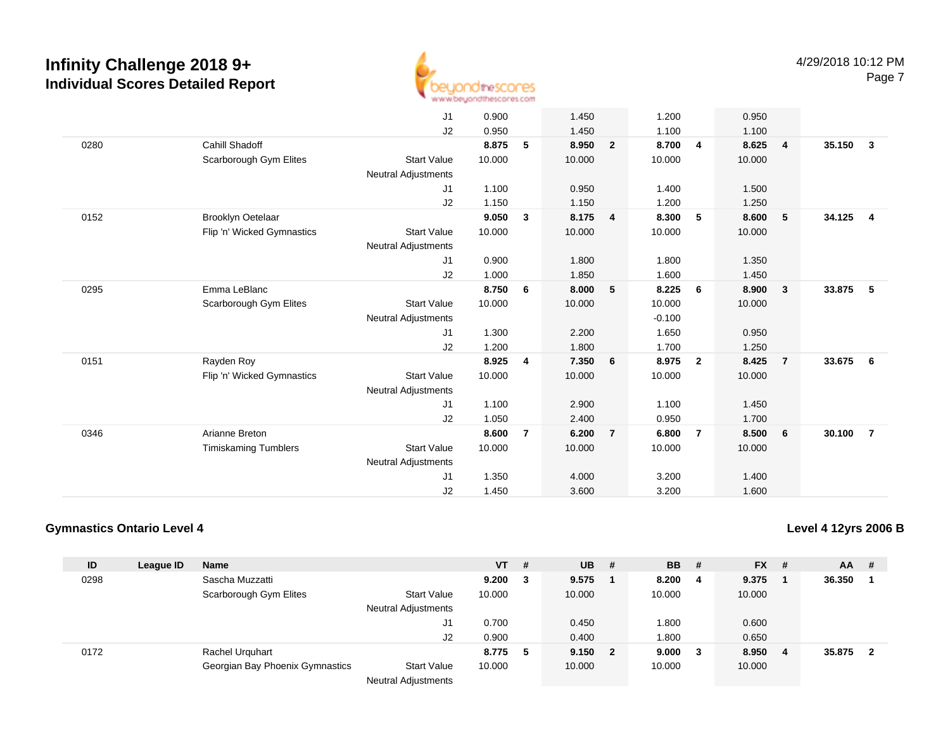

|      |                             | J1                         | 0.900  |                | 1.450  |                | 1.200    |                | 0.950  |                         |                                   |  |
|------|-----------------------------|----------------------------|--------|----------------|--------|----------------|----------|----------------|--------|-------------------------|-----------------------------------|--|
|      |                             | J2                         | 0.950  |                | 1.450  |                | 1.100    |                | 1.100  |                         |                                   |  |
| 0280 | Cahill Shadoff              |                            | 8.875  | 5              | 8.950  | $\overline{2}$ | 8.700    | $\overline{4}$ | 8.625  | $\overline{4}$          | 35.150<br>$\overline{\mathbf{3}}$ |  |
|      | Scarborough Gym Elites      | <b>Start Value</b>         | 10.000 |                | 10.000 |                | 10.000   |                | 10.000 |                         |                                   |  |
|      |                             | <b>Neutral Adjustments</b> |        |                |        |                |          |                |        |                         |                                   |  |
|      |                             | J <sub>1</sub>             | 1.100  |                | 0.950  |                | 1.400    |                | 1.500  |                         |                                   |  |
|      |                             | J2                         | 1.150  |                | 1.150  |                | 1.200    |                | 1.250  |                         |                                   |  |
| 0152 | Brooklyn Oetelaar           |                            | 9.050  | $\mathbf{3}$   | 8.175  | 4              | 8.300    | 5              | 8.600  | 5                       | 34.125<br>$\overline{\mathbf{4}}$ |  |
|      |                             | <b>Start Value</b>         | 10.000 |                | 10.000 |                | 10.000   |                | 10.000 |                         |                                   |  |
|      | Flip 'n' Wicked Gymnastics  |                            |        |                |        |                |          |                |        |                         |                                   |  |
|      |                             | <b>Neutral Adjustments</b> |        |                |        |                |          |                |        |                         |                                   |  |
|      |                             | J1                         | 0.900  |                | 1.800  |                | 1.800    |                | 1.350  |                         |                                   |  |
|      |                             | J2                         | 1.000  |                | 1.850  |                | 1.600    |                | 1.450  |                         |                                   |  |
| 0295 | Emma LeBlanc                |                            | 8.750  | 6              | 8.000  | 5              | 8.225    | 6              | 8.900  | $\overline{\mathbf{3}}$ | 33.875<br>- 5                     |  |
|      | Scarborough Gym Elites      | <b>Start Value</b>         | 10.000 |                | 10.000 |                | 10.000   |                | 10.000 |                         |                                   |  |
|      |                             | <b>Neutral Adjustments</b> |        |                |        |                | $-0.100$ |                |        |                         |                                   |  |
|      |                             | J1                         | 1.300  |                | 2.200  |                | 1.650    |                | 0.950  |                         |                                   |  |
|      |                             | J2                         | 1.200  |                | 1.800  |                | 1.700    |                | 1.250  |                         |                                   |  |
| 0151 | Rayden Roy                  |                            | 8.925  | 4              | 7.350  | 6              | 8.975    | $\overline{2}$ | 8.425  | $\overline{7}$          | 33.675<br>- 6                     |  |
|      | Flip 'n' Wicked Gymnastics  | <b>Start Value</b>         | 10.000 |                | 10.000 |                | 10.000   |                | 10.000 |                         |                                   |  |
|      |                             | <b>Neutral Adjustments</b> |        |                |        |                |          |                |        |                         |                                   |  |
|      |                             | J <sub>1</sub>             | 1.100  |                | 2.900  |                | 1.100    |                | 1.450  |                         |                                   |  |
|      |                             | J2                         | 1.050  |                | 2.400  |                | 0.950    |                | 1.700  |                         |                                   |  |
| 0346 | Arianne Breton              |                            | 8.600  | $\overline{7}$ | 6.200  | $\overline{7}$ | 6.800    | $\overline{7}$ | 8.500  | 6                       | 30.100<br>$\overline{7}$          |  |
|      | <b>Timiskaming Tumblers</b> | <b>Start Value</b>         | 10.000 |                | 10.000 |                | 10.000   |                | 10.000 |                         |                                   |  |
|      |                             | <b>Neutral Adjustments</b> |        |                |        |                |          |                |        |                         |                                   |  |
|      |                             | J1                         | 1.350  |                | 4.000  |                | 3.200    |                | 1.400  |                         |                                   |  |
|      |                             | J2                         | 1.450  |                | 3.600  |                | 3.200    |                | 1.600  |                         |                                   |  |

## **Gymnastics Ontario Level 4**

**Level 4 12yrs 2006 B**

| ID   | League ID | <b>Name</b>                     |                            | <b>VT</b> | # | <b>UB</b> | #   | <b>BB</b> | - # | $FX$ #  | AA     | -#  |
|------|-----------|---------------------------------|----------------------------|-----------|---|-----------|-----|-----------|-----|---------|--------|-----|
| 0298 |           | Sascha Muzzatti                 |                            | 9.200     | 3 | 9.575     |     | 8.200     | 4   | 9.375   | 36.350 |     |
|      |           | Scarborough Gym Elites          | <b>Start Value</b>         | 10.000    |   | 10.000    |     | 10.000    |     | 10.000  |        |     |
|      |           |                                 | <b>Neutral Adjustments</b> |           |   |           |     |           |     |         |        |     |
|      |           |                                 | J1                         | 0.700     |   | 0.450     |     | .800      |     | 0.600   |        |     |
|      |           |                                 | J2                         | 0.900     |   | 0.400     |     | 1.800     |     | 0.650   |        |     |
| 0172 |           | <b>Rachel Urguhart</b>          |                            | 8.775     | 5 | 9.150     | - 2 | 9.000     | 3   | 8.950 4 | 35.875 | - 2 |
|      |           | Georgian Bay Phoenix Gymnastics | <b>Start Value</b>         | 10.000    |   | 10.000    |     | 10.000    |     | 10.000  |        |     |
|      |           |                                 | $\blacksquare$             |           |   |           |     |           |     |         |        |     |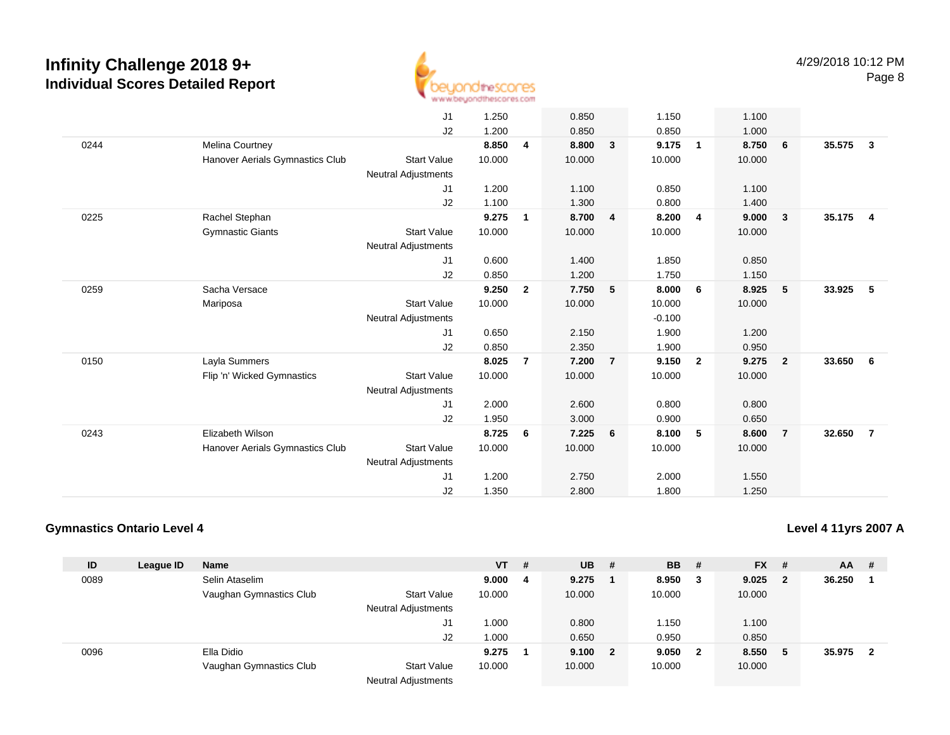

|      |                                 | J1                         | 1.250  |                | 0.850  |                | 1.150    |                | 1.100  |                         |        |                         |
|------|---------------------------------|----------------------------|--------|----------------|--------|----------------|----------|----------------|--------|-------------------------|--------|-------------------------|
|      |                                 | J2                         | 1.200  |                | 0.850  |                | 0.850    |                | 1.000  |                         |        |                         |
| 0244 | Melina Courtney                 |                            | 8.850  | $\overline{4}$ | 8.800  | 3              | 9.175    | $\mathbf{1}$   | 8.750  | $6\overline{6}$         | 35.575 | $\overline{\mathbf{3}}$ |
|      | Hanover Aerials Gymnastics Club | <b>Start Value</b>         | 10.000 |                | 10.000 |                | 10.000   |                | 10.000 |                         |        |                         |
|      |                                 | <b>Neutral Adjustments</b> |        |                |        |                |          |                |        |                         |        |                         |
|      |                                 | J1                         | 1.200  |                | 1.100  |                | 0.850    |                | 1.100  |                         |        |                         |
|      |                                 | J2                         | 1.100  |                | 1.300  |                | 0.800    |                | 1.400  |                         |        |                         |
| 0225 | Rachel Stephan                  |                            | 9.275  | 1              | 8.700  | $\overline{4}$ | 8.200    | 4              | 9.000  | $\overline{\mathbf{3}}$ | 35.175 | $\overline{\mathbf{4}}$ |
|      | <b>Gymnastic Giants</b>         | <b>Start Value</b>         | 10.000 |                | 10.000 |                | 10.000   |                | 10.000 |                         |        |                         |
|      |                                 | <b>Neutral Adjustments</b> |        |                |        |                |          |                |        |                         |        |                         |
|      |                                 | J1                         | 0.600  |                | 1.400  |                | 1.850    |                | 0.850  |                         |        |                         |
|      |                                 | J2                         | 0.850  |                | 1.200  |                | 1.750    |                | 1.150  |                         |        |                         |
| 0259 | Sacha Versace                   |                            | 9.250  | $\overline{2}$ | 7.750  | 5              | 8.000    | 6              | 8.925  | $-5$                    | 33.925 | - 5                     |
|      | Mariposa                        | <b>Start Value</b>         | 10.000 |                | 10.000 |                | 10.000   |                | 10.000 |                         |        |                         |
|      |                                 | <b>Neutral Adjustments</b> |        |                |        |                | $-0.100$ |                |        |                         |        |                         |
|      |                                 | J1                         | 0.650  |                | 2.150  |                | 1.900    |                | 1.200  |                         |        |                         |
|      |                                 | J2                         | 0.850  |                | 2.350  |                | 1.900    |                | 0.950  |                         |        |                         |
| 0150 | Layla Summers                   |                            | 8.025  | $\overline{7}$ | 7.200  | $\overline{7}$ | 9.150    | $\overline{2}$ | 9.275  | $\overline{\mathbf{2}}$ | 33.650 | 6                       |
|      | Flip 'n' Wicked Gymnastics      | <b>Start Value</b>         | 10.000 |                | 10.000 |                | 10.000   |                | 10.000 |                         |        |                         |
|      |                                 | <b>Neutral Adjustments</b> |        |                |        |                |          |                |        |                         |        |                         |
|      |                                 | J1                         | 2.000  |                | 2.600  |                | 0.800    |                | 0.800  |                         |        |                         |
|      |                                 | J2                         | 1.950  |                | 3.000  |                | 0.900    |                | 0.650  |                         |        |                         |
| 0243 | Elizabeth Wilson                |                            | 8.725  | 6              | 7.225  | 6              | 8.100    | 5              | 8.600  | $\overline{7}$          | 32.650 | $\overline{7}$          |
|      | Hanover Aerials Gymnastics Club | <b>Start Value</b>         | 10.000 |                | 10.000 |                | 10.000   |                | 10.000 |                         |        |                         |
|      |                                 | <b>Neutral Adjustments</b> |        |                |        |                |          |                |        |                         |        |                         |
|      |                                 | J1                         | 1.200  |                | 2.750  |                | 2.000    |                | 1.550  |                         |        |                         |
|      |                                 | J2                         | 1.350  |                | 2.800  |                | 1.800    |                | 1.250  |                         |        |                         |

## **Gymnastics Ontario Level 4**

**Level 4 11yrs 2007 A**

| ID   |           | <b>Name</b>             |                            | <b>VT</b> | # | <b>UB</b> | - #                     | <b>BB</b> | - #          | <b>FX</b> | - #                     | <b>AA</b> | -# |
|------|-----------|-------------------------|----------------------------|-----------|---|-----------|-------------------------|-----------|--------------|-----------|-------------------------|-----------|----|
|      | League ID |                         |                            |           |   |           |                         |           |              |           |                         |           |    |
| 0089 |           | Selin Ataselim          |                            | 9.000     | 4 | 9.275     |                         | 8.950     |              | 9.025     | $\overline{\mathbf{2}}$ | 36.250    |    |
|      |           | Vaughan Gymnastics Club | <b>Start Value</b>         | 10.000    |   | 10.000    |                         | 10.000    |              | 10.000    |                         |           |    |
|      |           |                         | <b>Neutral Adjustments</b> |           |   |           |                         |           |              |           |                         |           |    |
|      |           |                         | J1                         | 1.000     |   | 0.800     |                         | 1.150     |              | 1.100     |                         |           |    |
|      |           |                         | J2                         | 1.000     |   | 0.650     |                         | 0.950     |              | 0.850     |                         |           |    |
| 0096 |           | Ella Didio              |                            | 9.275     |   | 9.100     | $\overline{\mathbf{2}}$ | 9.050     | $\mathbf{2}$ | 8.550     | $5^{\circ}$             | 35.975    | -2 |
|      |           | Vaughan Gymnastics Club | <b>Start Value</b>         | 10.000    |   | 10.000    |                         | 10.000    |              | 10.000    |                         |           |    |
|      |           |                         |                            |           |   |           |                         |           |              |           |                         |           |    |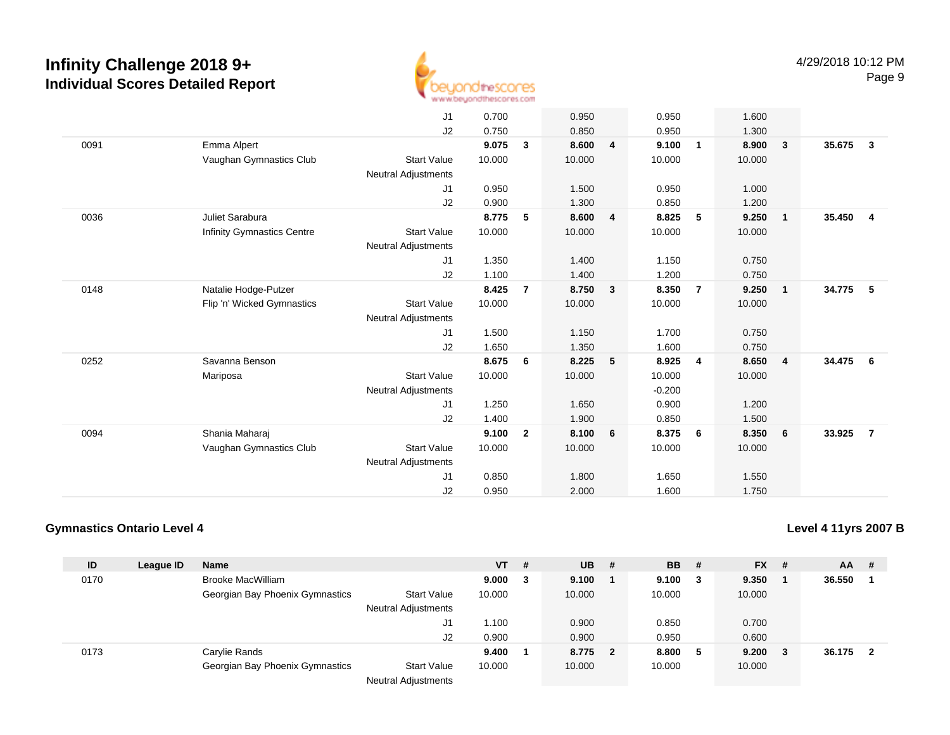

|      |                                   | J1                         | 0.700  |                | 0.950  |                | 0.950    |                | 1.600  |                         |                                   |  |
|------|-----------------------------------|----------------------------|--------|----------------|--------|----------------|----------|----------------|--------|-------------------------|-----------------------------------|--|
|      |                                   | J2                         | 0.750  |                | 0.850  |                | 0.950    |                | 1.300  |                         |                                   |  |
| 0091 | Emma Alpert                       |                            | 9.075  | $\mathbf{3}$   | 8.600  | $\overline{4}$ | 9.100    | $\mathbf{1}$   | 8.900  | $\overline{\mathbf{3}}$ | 35.675<br>$\overline{\mathbf{3}}$ |  |
|      | Vaughan Gymnastics Club           | <b>Start Value</b>         | 10.000 |                | 10.000 |                | 10.000   |                | 10.000 |                         |                                   |  |
|      |                                   | <b>Neutral Adjustments</b> |        |                |        |                |          |                |        |                         |                                   |  |
|      |                                   | J1                         | 0.950  |                | 1.500  |                | 0.950    |                | 1.000  |                         |                                   |  |
|      |                                   | J2                         | 0.900  |                | 1.300  |                | 0.850    |                | 1.200  |                         |                                   |  |
| 0036 | Juliet Sarabura                   |                            | 8.775  | 5              | 8.600  | 4              | 8.825    | 5              | 9.250  | $\overline{1}$          | 35.450 4                          |  |
|      | <b>Infinity Gymnastics Centre</b> | <b>Start Value</b>         | 10.000 |                | 10.000 |                | 10.000   |                | 10.000 |                         |                                   |  |
|      |                                   | <b>Neutral Adjustments</b> |        |                |        |                |          |                |        |                         |                                   |  |
|      |                                   | J1                         | 1.350  |                | 1.400  |                | 1.150    |                | 0.750  |                         |                                   |  |
|      |                                   | J2                         | 1.100  |                | 1.400  |                | 1.200    |                | 0.750  |                         |                                   |  |
| 0148 | Natalie Hodge-Putzer              |                            | 8.425  | $\overline{7}$ | 8.750  | $\mathbf{3}$   | 8.350    | $\overline{7}$ | 9.250  | $\overline{1}$          | 34.775<br>$-5$                    |  |
|      | Flip 'n' Wicked Gymnastics        | <b>Start Value</b>         | 10.000 |                | 10.000 |                | 10.000   |                | 10.000 |                         |                                   |  |
|      |                                   | <b>Neutral Adjustments</b> |        |                |        |                |          |                |        |                         |                                   |  |
|      |                                   | J1                         | 1.500  |                | 1.150  |                | 1.700    |                | 0.750  |                         |                                   |  |
|      |                                   | J2                         | 1.650  |                | 1.350  |                | 1.600    |                | 0.750  |                         |                                   |  |
| 0252 | Savanna Benson                    |                            | 8.675  | 6              | 8.225  | 5              | 8.925    | 4              | 8.650  | $\overline{4}$          | 34.475<br>6                       |  |
|      | Mariposa                          | <b>Start Value</b>         | 10.000 |                | 10.000 |                | 10.000   |                | 10.000 |                         |                                   |  |
|      |                                   | <b>Neutral Adjustments</b> |        |                |        |                | $-0.200$ |                |        |                         |                                   |  |
|      |                                   | J1                         | 1.250  |                | 1.650  |                | 0.900    |                | 1.200  |                         |                                   |  |
|      |                                   | J2                         | 1.400  |                | 1.900  |                | 0.850    |                | 1.500  |                         |                                   |  |
| 0094 | Shania Maharai                    |                            | 9.100  | $\overline{2}$ | 8.100  | 6              | 8.375    | 6              | 8.350  | 6                       | 33.925<br>$\overline{7}$          |  |
|      | Vaughan Gymnastics Club           | <b>Start Value</b>         | 10.000 |                | 10.000 |                | 10.000   |                | 10.000 |                         |                                   |  |
|      |                                   | <b>Neutral Adjustments</b> |        |                |        |                |          |                |        |                         |                                   |  |
|      |                                   | J1                         | 0.850  |                | 1.800  |                | 1.650    |                | 1.550  |                         |                                   |  |
|      |                                   | J <sub>2</sub>             | 0.950  |                | 2.000  |                | 1.600    |                | 1.750  |                         |                                   |  |

## **Gymnastics Ontario Level 4**

**Level 4 11yrs 2007 B**

| ID   | League ID | <b>Name</b>                     |                                                                                                             | <b>VT</b> | # | <b>UB</b> | # | <b>BB</b> | - # | <b>FX</b> | - # | AA     | -# |
|------|-----------|---------------------------------|-------------------------------------------------------------------------------------------------------------|-----------|---|-----------|---|-----------|-----|-----------|-----|--------|----|
| 0170 |           | <b>Brooke MacWilliam</b>        |                                                                                                             | 9.000     | 3 | 9.100     |   | 9.100     | 3   | 9.350     |     | 36.550 |    |
|      |           | Georgian Bay Phoenix Gymnastics | <b>Start Value</b>                                                                                          | 10.000    |   | 10.000    |   | 10.000    |     | 10.000    |     |        |    |
|      |           |                                 | <b>Neutral Adjustments</b>                                                                                  |           |   |           |   |           |     |           |     |        |    |
|      |           |                                 | J1                                                                                                          | 1.100     |   | 0.900     |   | 0.850     |     | 0.700     |     |        |    |
|      |           |                                 | J <sub>2</sub>                                                                                              | 0.900     |   | 0.900     |   | 0.950     |     | 0.600     |     |        |    |
| 0173 |           | Carylie Rands                   |                                                                                                             | 9.400     |   | 8.775     | 2 | 8.800     | 5   | 9.200     |     | 36.175 |    |
|      |           | Georgian Bay Phoenix Gymnastics | <b>Start Value</b>                                                                                          | 10.000    |   | 10.000    |   | 10.000    |     | 10.000    |     |        |    |
|      |           |                                 | $\mathbf{A} \mathbf{B}$ and $\mathbf{A} \mathbf{B}$ and $\mathbf{A} \mathbf{B}$ and $\mathbf{A} \mathbf{B}$ |           |   |           |   |           |     |           |     |        |    |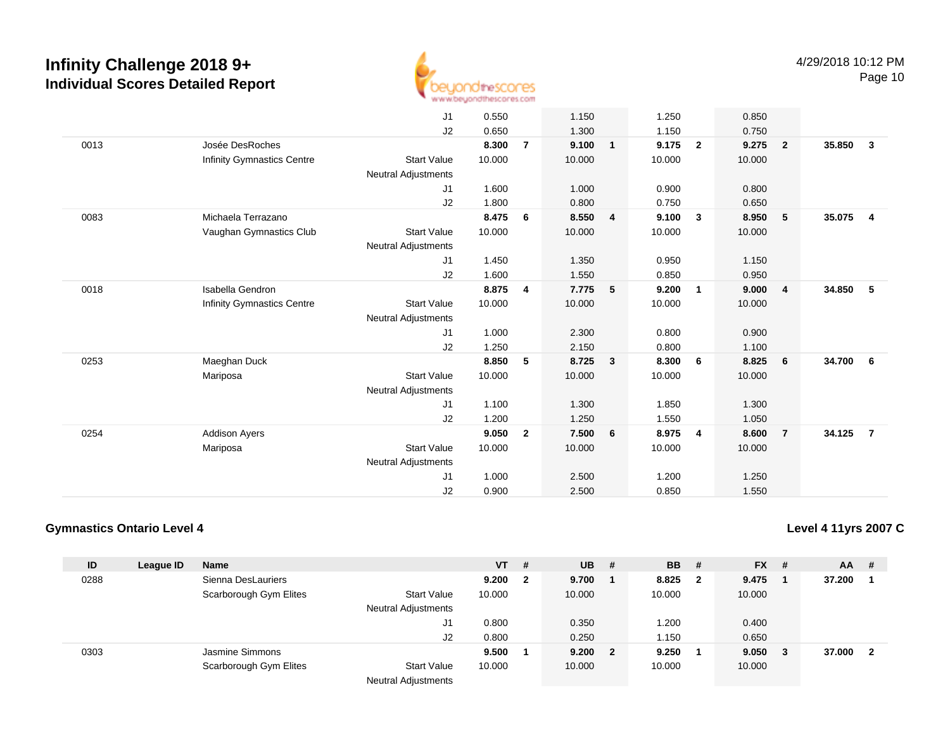

|      |                            | J1                         | 0.550  |                | 1.150  |              | 1.250  |                | 0.850  |                         |        |                         |
|------|----------------------------|----------------------------|--------|----------------|--------|--------------|--------|----------------|--------|-------------------------|--------|-------------------------|
|      |                            | J2                         | 0.650  |                | 1.300  |              | 1.150  |                | 0.750  |                         |        |                         |
| 0013 | Josée DesRoches            |                            | 8.300  | $\overline{7}$ | 9.100  | $\mathbf{1}$ | 9.175  | $\overline{2}$ | 9.275  | $\overline{\mathbf{2}}$ | 35.850 | $\mathbf{3}$            |
|      | Infinity Gymnastics Centre | <b>Start Value</b>         | 10.000 |                | 10.000 |              | 10.000 |                | 10.000 |                         |        |                         |
|      |                            | <b>Neutral Adjustments</b> |        |                |        |              |        |                |        |                         |        |                         |
|      |                            | J1                         | 1.600  |                | 1.000  |              | 0.900  |                | 0.800  |                         |        |                         |
|      |                            | J2                         | 1.800  |                | 0.800  |              | 0.750  |                | 0.650  |                         |        |                         |
| 0083 | Michaela Terrazano         |                            | 8.475  | 6              | 8.550  | 4            | 9.100  | $\mathbf{3}$   | 8.950  | $5\phantom{1}$          | 35.075 | $\overline{\mathbf{4}}$ |
|      | Vaughan Gymnastics Club    | <b>Start Value</b>         | 10.000 |                | 10.000 |              | 10.000 |                | 10.000 |                         |        |                         |
|      |                            | <b>Neutral Adjustments</b> |        |                |        |              |        |                |        |                         |        |                         |
|      |                            | J1                         | 1.450  |                | 1.350  |              | 0.950  |                | 1.150  |                         |        |                         |
|      |                            | J2                         | 1.600  |                | 1.550  |              | 0.850  |                | 0.950  |                         |        |                         |
| 0018 | Isabella Gendron           |                            | 8.875  | 4              | 7.775  | 5            | 9.200  | $\overline{1}$ | 9.000  | $\overline{4}$          | 34.850 | - 5                     |
|      | Infinity Gymnastics Centre | <b>Start Value</b>         | 10.000 |                | 10.000 |              | 10.000 |                | 10.000 |                         |        |                         |
|      |                            | <b>Neutral Adjustments</b> |        |                |        |              |        |                |        |                         |        |                         |
|      |                            | J1                         | 1.000  |                | 2.300  |              | 0.800  |                | 0.900  |                         |        |                         |
|      |                            | J2                         | 1.250  |                | 2.150  |              | 0.800  |                | 1.100  |                         |        |                         |
| 0253 | Maeghan Duck               |                            | 8.850  | 5              | 8.725  | $\mathbf{3}$ | 8.300  | 6              | 8.825  | 6                       | 34.700 | - 6                     |
|      | Mariposa                   | <b>Start Value</b>         | 10.000 |                | 10.000 |              | 10.000 |                | 10.000 |                         |        |                         |
|      |                            | <b>Neutral Adjustments</b> |        |                |        |              |        |                |        |                         |        |                         |
|      |                            | J1                         | 1.100  |                | 1.300  |              | 1.850  |                | 1.300  |                         |        |                         |
|      |                            | J2                         | 1.200  |                | 1.250  |              | 1.550  |                | 1.050  |                         |        |                         |
| 0254 | <b>Addison Avers</b>       |                            | 9.050  | $\overline{2}$ | 7.500  | 6            | 8.975  | $\overline{4}$ | 8.600  | $\overline{7}$          | 34.125 | $\overline{7}$          |
|      | Mariposa                   | <b>Start Value</b>         | 10.000 |                | 10.000 |              | 10.000 |                | 10.000 |                         |        |                         |
|      |                            | <b>Neutral Adjustments</b> |        |                |        |              |        |                |        |                         |        |                         |
|      |                            | J1                         | 1.000  |                | 2.500  |              | 1.200  |                | 1.250  |                         |        |                         |
|      |                            | J2                         | 0.900  |                | 2.500  |              | 0.850  |                | 1.550  |                         |        |                         |
|      |                            |                            |        |                |        |              |        |                |        |                         |        |                         |

## **Gymnastics Ontario Level 4**

**Level 4 11yrs 2007 C**

| ID   | League ID | <b>Name</b>            |                                      | <b>VT</b> | #            | <b>UB</b> | -# | <b>BB</b> | - # | $FX$ # |     | <b>AA</b> | -# |
|------|-----------|------------------------|--------------------------------------|-----------|--------------|-----------|----|-----------|-----|--------|-----|-----------|----|
| 0288 |           | Sienna DesLauriers     |                                      | 9.200     | $\mathbf{2}$ | 9.700     |    | 8.825     | 2   | 9.475  |     | 37.200    |    |
|      |           | Scarborough Gym Elites | <b>Start Value</b>                   | 10.000    |              | 10.000    |    | 10.000    |     | 10.000 |     |           |    |
|      |           |                        | Neutral Adjustments                  |           |              |           |    |           |     |        |     |           |    |
|      |           |                        | J1                                   | 0.800     |              | 0.350     |    | .200      |     | 0.400  |     |           |    |
|      |           |                        | J2                                   | 0.800     |              | 0.250     |    | 1.150     |     | 0.650  |     |           |    |
| 0303 |           | Jasmine Simmons        |                                      | 9.500     |              | 9.200     | 2  | 9.250     |     | 9.050  | - 3 | 37,000    | -2 |
|      |           | Scarborough Gym Elites | <b>Start Value</b>                   | 10.000    |              | 10.000    |    | 10.000    |     | 10.000 |     |           |    |
|      |           |                        | <b>Allacedorel Authorities</b> and a |           |              |           |    |           |     |        |     |           |    |